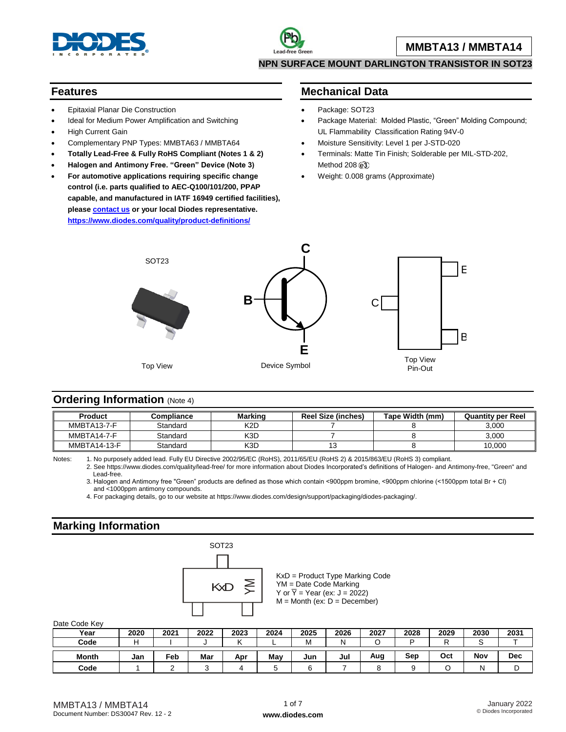

#### **NPN SURFACE MOUNT DARLINGTON TRANSISTOR IN SOT23**

#### **Features**

- Epitaxial Planar Die Construction
- Ideal for Medium Power Amplification and Switching
- High Current Gain
- Complementary PNP Types: MMBTA63 / MMBTA64
- **Totally Lead-Free & Fully RoHS Compliant (Notes 1 & 2)**
- **Halogen and Antimony Free. "Green" Device (Note 3)**
- **For automotive applications requiring specific change control (i.e. parts qualified to AEC-Q100/101/200, PPAP capable, and manufactured in IATF 16949 certified facilities), pleas[e contact us](https://www.diodes.com/about/contact-us/) or your local Diodes representative. <https://www.diodes.com/quality/product-definitions/>**

### **Mechanical Data**

- Package: SOT23
- Package Material: Molded Plastic, "Green" Molding Compound; UL Flammability Classification Rating 94V-0
- Moisture Sensitivity: Level 1 per J-STD-020
- Terminals: Matte Tin Finish; Solderable per MIL-STD-202, Method 208 @3
- Weight: 0.008 grams (Approximate)



#### **Ordering Information** (Note 4)

| <b>Product</b>      | Compliance | <b>Marking</b> | <b>Reel Size (inches)</b> | Tape Width (mm) | <b>Quantity per Reel</b> |
|---------------------|------------|----------------|---------------------------|-----------------|--------------------------|
| MMBTA13-7-F         | Standard   | K2D            |                           |                 | 3.000                    |
| MMBTA14-7-F         | Standard   | K3D            |                           |                 | 3.000                    |
| <b>MMBTA14-13-F</b> | Standard   | K3D            |                           |                 | 10.000                   |

Notes: 1. No purposely added lead. Fully EU Directive 2002/95/EC (RoHS), 2011/65/EU (RoHS 2) & 2015/863/EU (RoHS 3) compliant.

2. See https://www.diodes.com/quality/lead-free/ for more information about Diodes Incorporated's definitions of Halogen- and Antimony-free, "Green" and Lead-free.

3. Halogen and Antimony free "Green" products are defined as those which contain <900ppm bromine, <900ppm chlorine (<1500ppm total Br + Cl) and <1000ppm antimony compounds.

4. For packaging details, go to our website at https://www.diodes.com/design/support/packaging/diodes-packaging/.

### **Marking Information**



KxD = Product Type Marking Code YM = Date Code Marking Y or  $\overline{Y}$  = Year (ex: J = 2022)  $M =$  Month (ex:  $D =$  December)

Date Code Key

| <b>Dail OUGO INCY</b> |      |      |      |      |      |      |      |      |      |      |      |            |
|-----------------------|------|------|------|------|------|------|------|------|------|------|------|------------|
| Year                  | 2020 | 2021 | 2022 | 2023 | 2024 | 2025 | 2026 | 2027 | 2028 | 2029 | 2030 | 2031       |
| Code                  |      |      |      |      |      | м    |      |      | D    |      |      |            |
|                       |      |      |      |      |      |      |      |      |      |      |      |            |
|                       |      |      |      |      |      |      |      |      |      |      |      |            |
| <b>Month</b>          | Jan  | Feb  | Mar  | Apr  | May  | Jun  | Jul  | Aug  | Sep  | Oct  | Nov  | <b>Dec</b> |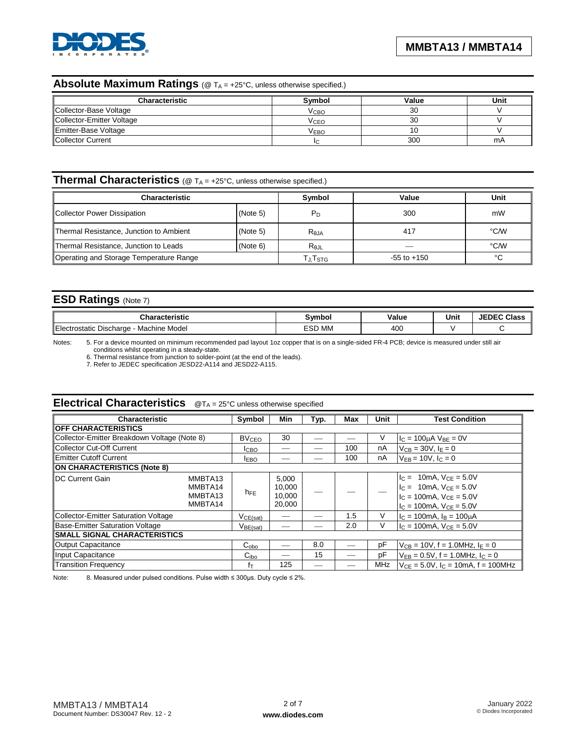

## Absolute Maximum Ratings (@ T<sub>A</sub> = +25°C, unless otherwise specified.)

| <b>Characteristic</b>     | <b>Symbol</b>    | Value | Unit |
|---------------------------|------------------|-------|------|
| Collector-Base Voltage    | V <sub>CBO</sub> | 30    |      |
| Collector-Emitter Voltage | VCEO             | 30    |      |
| Emitter-Base Voltage      | V <sub>EBO</sub> | 10    |      |
| Collector Current         |                  | 300   | mA   |

# **Thermal Characteristics** (@ T<sub>A</sub> = +25°C, unless otherwise specified.)

| <b>Characteristic</b>                   |          | Symbol         | Value           | Unit |
|-----------------------------------------|----------|----------------|-----------------|------|
| Collector Power Dissipation             | (Note 5) | P <sub>D</sub> | 300             | mW   |
| Thermal Resistance, Junction to Ambient | (Note 5) | $R_{0,IA}$     | 417             | °C/W |
| Thermal Resistance, Junction to Leads   | (Note 6) | $R_{0,IL}$     |                 | °C/W |
| Operating and Storage Temperature Range |          | Tj.Tstg        | $-55$ to $+150$ | °C   |

## **ESD Ratings** (Note 7)

| `haracteristic<br>лнан                                  | Svmbo  | Value | Unit | ਾਂ ਾਸਾ Class ਵਿ |
|---------------------------------------------------------|--------|-------|------|-----------------|
| <b>I</b> Elect<br>Machine Model<br>Discharge<br>ostatic | ESD MM | 400   |      |                 |

Notes: 5. For a device mounted on minimum recommended pad layout 1oz copper that is on a single-sided FR-4 PCB; device is measured under still air conditions whilst operating in a steady-state.

6. Thermal resistance from junction to solder-point (at the end of the leads).

7. Refer to JEDEC specification JESD22-A114 and JESD22-A115.

# **Electrical Characteristics** @T<sup>A</sup> = 25°C unless otherwise specified

| <b>Characteristic</b>                        | <b>Symbol</b>                                        | Min                                 | Typ. | Max | Unit | <b>Test Condition</b>                                                                                                                              |
|----------------------------------------------|------------------------------------------------------|-------------------------------------|------|-----|------|----------------------------------------------------------------------------------------------------------------------------------------------------|
| <b>OFF CHARACTERISTICS</b>                   |                                                      |                                     |      |     |      |                                                                                                                                                    |
| Collector-Emitter Breakdown Voltage (Note 8) |                                                      | 30                                  |      |     | V    | $I_C = 100 \mu A \text{ V}_{BE} = 0 \text{V}$                                                                                                      |
| <b>Collector Cut-Off Current</b>             | <b>ICBO</b>                                          |                                     |      | 100 | nA   | $V_{CB} = 30V, IE = 0$                                                                                                                             |
| <b>Emitter Cutoff Current</b>                | <b>IEBO</b>                                          |                                     |      | 100 | nA   | $V_{FB} = 10V$ , $I_C = 0$                                                                                                                         |
| ON CHARACTERISTICS (Note 8)                  |                                                      |                                     |      |     |      |                                                                                                                                                    |
| <b>IDC Current Gain</b>                      | MMBTA13<br>MMBTA14<br>$h_{FE}$<br>MMBTA13<br>MMBTA14 | 5.000<br>10,000<br>10,000<br>20,000 |      |     |      | $I_C = 10mA$ , $V_{CE} = 5.0V$<br>$I_C = 10 \text{mA}$ , $V_{CF} = 5.0 \text{V}$<br>$IC = 100mA$ , $VCE = 5.0V$<br>$I_C = 100$ mA, $V_{CE} = 5.0V$ |
| <b>Collector-Emitter Saturation Voltage</b>  | $V_{CE(sat)}$                                        |                                     |      | 1.5 | V    | $I_C = 100 \text{mA}$ , $I_B = 100 \mu \text{A}$                                                                                                   |
| <b>Base-Emitter Saturation Voltage</b>       | $V_{BE(sat)}$                                        |                                     |      | 2.0 | V    | $I_C = 100mA$ , $V_{CE} = 5.0V$                                                                                                                    |
| <b>SMALL SIGNAL CHARACTERISTICS</b>          |                                                      |                                     |      |     |      |                                                                                                                                                    |
| Output Capacitance                           | C <sub>obo</sub>                                     |                                     | 8.0  |     | pF   | $V_{CB} = 10V$ , f = 1.0MHz, $I_E = 0$                                                                                                             |
| Input Capacitance                            | C <sub>ibo</sub>                                     |                                     | 15   |     | pF   | $V_{EB} = 0.5V$ , f = 1.0MHz, $I_C = 0$                                                                                                            |
| <b>Transition Frequency</b>                  | fτ                                                   | 125                                 |      |     | MHz  | $V_{CE} = 5.0V$ , $I_C = 10mA$ , $f = 100MHz$                                                                                                      |

Note: 8. Measured under pulsed conditions. Pulse width ≤ 300µs. Duty cycle ≤ 2%.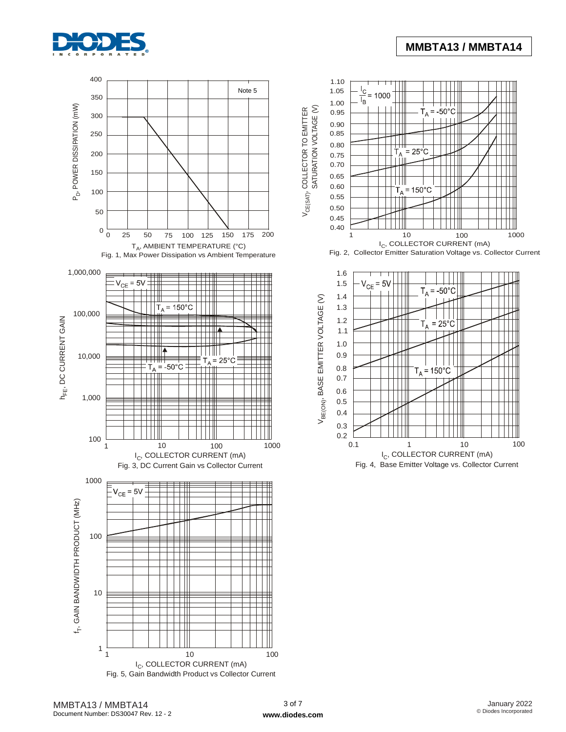



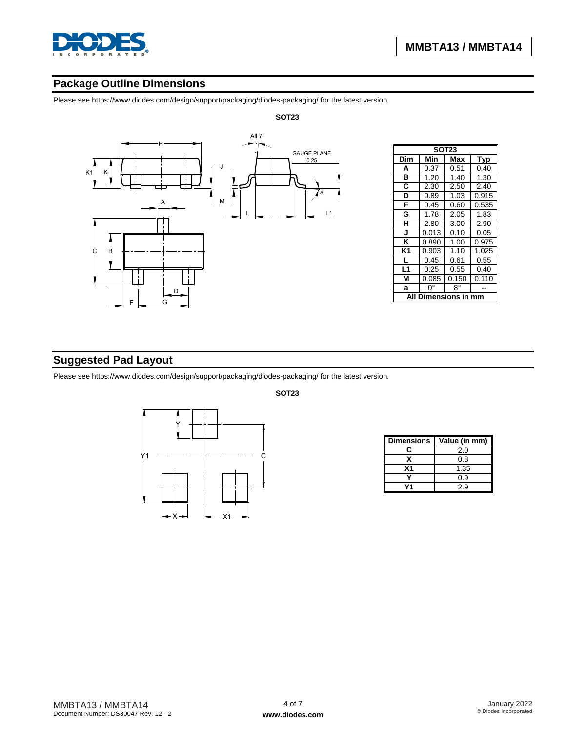

# **Package Outline Dimensions**

Please see https://www.diodes.com/design/support/packaging/diodes-packaging/ for the latest version.



|     | <b>SOT23</b>  |       |            |  |  |  |  |
|-----|---------------|-------|------------|--|--|--|--|
| Dim | Min           | Max   | <b>Typ</b> |  |  |  |  |
| A   | 0.37          | 0.51  | 0.40       |  |  |  |  |
| в   | 1.20          | 1.40  | 1.30       |  |  |  |  |
| C   | 2.30          | 2.50  | 2.40       |  |  |  |  |
| D   | 0.89          | 1.03  | 0.915      |  |  |  |  |
| F   | 0.45          | 0.60  | 0.535      |  |  |  |  |
| G   | 1.78          | 2.05  | 1.83       |  |  |  |  |
| н   | 2.80          | 3.00  | 2.90       |  |  |  |  |
| J   | 0.013         | 0.10  | 0.05       |  |  |  |  |
| Κ   | 0.890         | 1.00  | 0.975      |  |  |  |  |
| K1  | 0.903         | 1.10  | 1.025      |  |  |  |  |
| L   | 0.45          | 0.61  | 0.55       |  |  |  |  |
| L1  | 0.25          | 0.55  | 0.40       |  |  |  |  |
| М   | 0.085         | 0.150 | 0.110      |  |  |  |  |
| a   | 0°            | 8°    |            |  |  |  |  |
| ΔI  | Dimensions in |       |            |  |  |  |  |

# **Suggested Pad Layout**

Please see https://www.diodes.com/design/support/packaging/diodes-packaging/ for the latest version.



**SOT23**

| <b>Dimensions</b> | Value (in mm) |
|-------------------|---------------|
| r                 | 2.0           |
|                   | 0.8           |
| Χ1                | 1.35          |
|                   | 0.9           |
|                   | 2.9           |